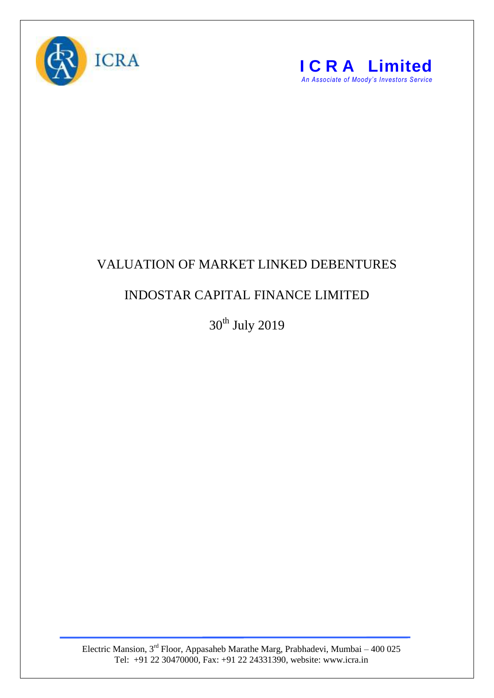



## VALUATION OF MARKET LINKED DEBENTURES

## INDOSTAR CAPITAL FINANCE LIMITED

 $30<sup>th</sup>$  July 2019

Electric Mansion,  $3<sup>rd</sup>$  Floor, Appasaheb Marathe Marg, Prabhadevi, Mumbai – 400 025 Tel: +91 22 30470000, Fax: +91 22 24331390, website: www.icra.in